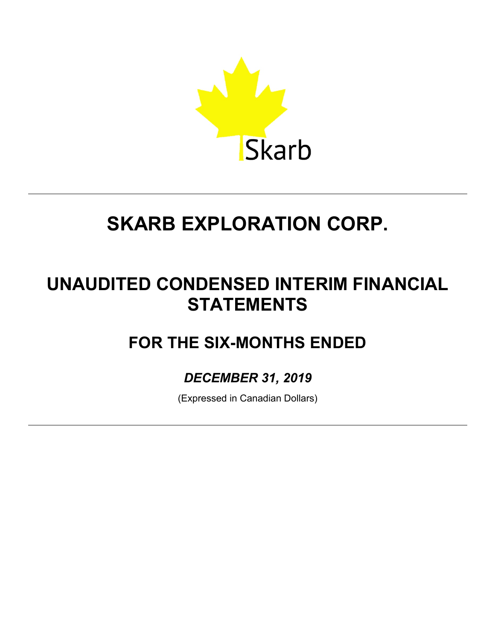

# **UNAUDITED CONDENSED INTERIM FINANCIAL STATEMENTS**

# **FOR THE SIX-MONTHS ENDED**

*DECEMBER 31, 2019*

(Expressed in Canadian Dollars)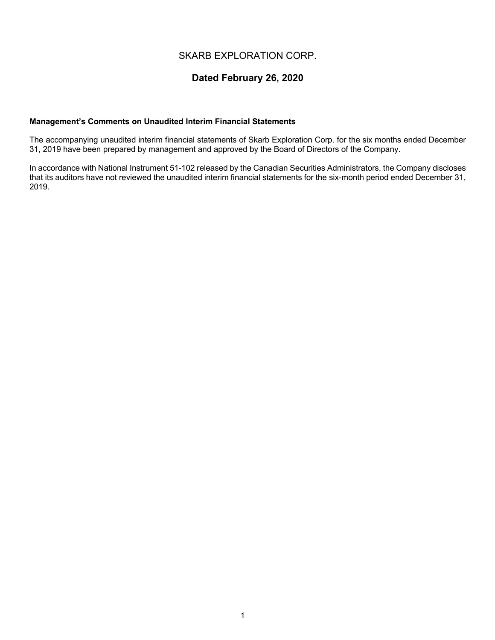# **Dated February 26, 2020**

# **Management's Comments on Unaudited Interim Financial Statements**

The accompanying unaudited interim financial statements of Skarb Exploration Corp. for the six months ended December 31, 2019 have been prepared by management and approved by the Board of Directors of the Company.

In accordance with National Instrument 51-102 released by the Canadian Securities Administrators, the Company discloses that its auditors have not reviewed the unaudited interim financial statements for the six-month period ended December 31, 2019.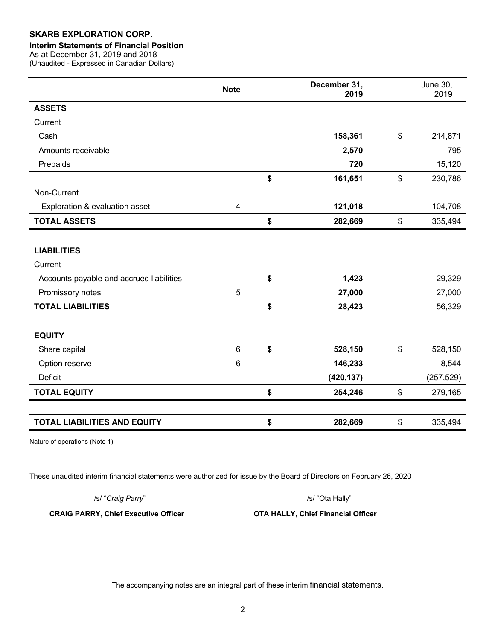#### **Interim Statements of Financial Position**

As at December 31, 2019 and 2018

(Unaudited - Expressed in Canadian Dollars)

|                                          | <b>Note</b>             | December 31,<br>2019 |                | <b>June 30,</b><br>2019 |
|------------------------------------------|-------------------------|----------------------|----------------|-------------------------|
| <b>ASSETS</b>                            |                         |                      |                |                         |
| Current                                  |                         |                      |                |                         |
| Cash                                     |                         | 158,361              | $\$\$          | 214,871                 |
| Amounts receivable                       |                         | 2,570                |                | 795                     |
| Prepaids                                 |                         | 720                  |                | 15,120                  |
|                                          |                         | \$<br>161,651        | $\mathfrak{S}$ | 230,786                 |
| Non-Current                              |                         |                      |                |                         |
| Exploration & evaluation asset           | $\overline{\mathbf{4}}$ | 121,018              |                | 104,708                 |
| <b>TOTAL ASSETS</b>                      |                         | \$<br>282,669        | $\mathfrak{S}$ | 335,494                 |
|                                          |                         |                      |                |                         |
| <b>LIABILITIES</b>                       |                         |                      |                |                         |
| Current                                  |                         |                      |                |                         |
| Accounts payable and accrued liabilities |                         | \$<br>1,423          |                | 29,329                  |
| Promissory notes                         | 5                       | 27,000               |                | 27,000                  |
| <b>TOTAL LIABILITIES</b>                 |                         | \$<br>28,423         |                | 56,329                  |
|                                          |                         |                      |                |                         |
| <b>EQUITY</b>                            |                         |                      |                |                         |
| Share capital                            | $6\phantom{1}$          | \$<br>528,150        | \$             | 528,150                 |
| Option reserve                           | 6                       | 146,233              |                | 8,544                   |
| <b>Deficit</b>                           |                         | (420, 137)           |                | (257, 529)              |
| <b>TOTAL EQUITY</b>                      |                         | \$<br>254,246        | \$             | 279,165                 |
|                                          |                         |                      |                |                         |
| <b>TOTAL LIABILITIES AND EQUITY</b>      |                         | \$<br>282,669        | \$             | 335,494                 |

Nature of operations (Note 1)

These unaudited interim financial statements were authorized for issue by the Board of Directors on February 26, 2020

/s/ "*Craig Parry*" /s/ "Ota Hally"

**CRAIG PARRY, Chief Executive Officer OTA HALLY, Chief Financial Officer**

The accompanying notes are an integral part of these interim financial statements.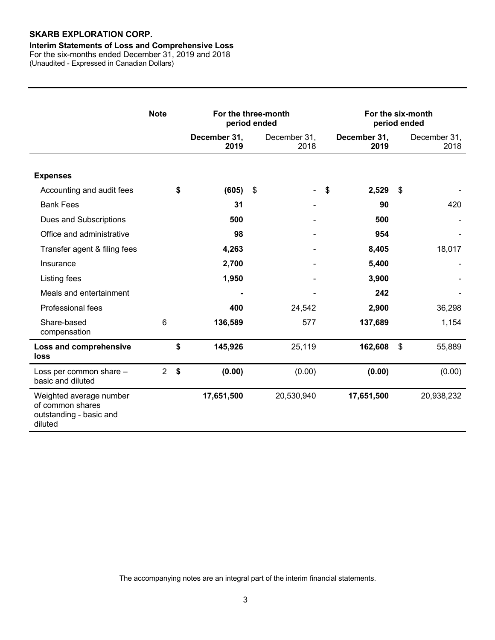# **Interim Statements of Loss and Comprehensive Loss**

For the six-months ended December 31, 2019 and 2018 (Unaudited - Expressed in Canadian Dollars)

|                                                                                   | <b>Note</b>    | For the three-month<br>period ended |    |                          | For the six-month<br>period ended |                      |               |                      |
|-----------------------------------------------------------------------------------|----------------|-------------------------------------|----|--------------------------|-----------------------------------|----------------------|---------------|----------------------|
|                                                                                   |                | December 31,<br>2019                |    | December 31,<br>2018     |                                   | December 31,<br>2019 |               | December 31,<br>2018 |
| <b>Expenses</b>                                                                   |                |                                     |    |                          |                                   |                      |               |                      |
| Accounting and audit fees                                                         |                | \$<br>(605)                         | \$ | $\overline{\phantom{a}}$ | $\mathsf{\$}$                     | 2,529                | \$            |                      |
| <b>Bank Fees</b>                                                                  |                | 31                                  |    |                          |                                   | 90                   |               | 420                  |
| Dues and Subscriptions                                                            |                | 500                                 |    |                          |                                   | 500                  |               |                      |
| Office and administrative                                                         |                | 98                                  |    |                          |                                   | 954                  |               |                      |
| Transfer agent & filing fees                                                      |                | 4,263                               |    |                          |                                   | 8,405                |               | 18,017               |
| Insurance                                                                         |                | 2,700                               |    |                          |                                   | 5,400                |               |                      |
| Listing fees                                                                      |                | 1,950                               |    |                          |                                   | 3,900                |               |                      |
| Meals and entertainment                                                           |                |                                     |    |                          |                                   | 242                  |               |                      |
| Professional fees                                                                 |                | 400                                 |    | 24,542                   |                                   | 2,900                |               | 36,298               |
| Share-based<br>compensation                                                       | 6              | 136,589                             |    | 577                      |                                   | 137,689              |               | 1,154                |
| <b>Loss and comprehensive</b><br><b>loss</b>                                      |                | \$<br>145,926                       |    | 25,119                   |                                   | 162,608              | $\mathcal{S}$ | 55,889               |
| Loss per common share -<br>basic and diluted                                      | $\overline{2}$ | \$<br>(0.00)                        |    | (0.00)                   |                                   | (0.00)               |               | (0.00)               |
| Weighted average number<br>of common shares<br>outstanding - basic and<br>diluted |                | 17,651,500                          |    | 20,530,940               |                                   | 17,651,500           |               | 20,938,232           |

The accompanying notes are an integral part of the interim financial statements.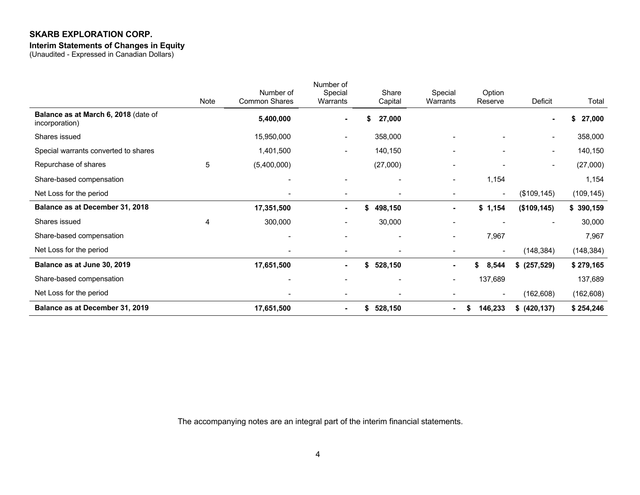#### **Interim Statements of Changes in Equity**

(Unaudited - Expressed in Canadian Dollars)

|                                                        |      | Number of                | Number of<br>Special         | Share                    | Special                  | Option                   |                          |              |
|--------------------------------------------------------|------|--------------------------|------------------------------|--------------------------|--------------------------|--------------------------|--------------------------|--------------|
|                                                        | Note | Common Shares            | Warrants                     | Capital                  | Warrants                 | Reserve                  | Deficit                  | Total        |
| Balance as at March 6, 2018 (date of<br>incorporation) |      | 5,400,000                | $\blacksquare$               | 27,000<br>S              |                          |                          |                          | \$<br>27,000 |
| Shares issued                                          |      | 15,950,000               |                              | 358,000                  |                          |                          | $\overline{\phantom{a}}$ | 358,000      |
| Special warrants converted to shares                   |      | 1,401,500                | $\overline{\phantom{0}}$     | 140,150                  |                          | $\overline{\phantom{a}}$ | $\blacksquare$           | 140,150      |
| Repurchase of shares                                   | 5    | (5,400,000)              |                              | (27,000)                 | $\overline{\phantom{0}}$ |                          | $\overline{\phantom{a}}$ | (27,000)     |
| Share-based compensation                               |      |                          | $\blacksquare$               |                          | Ξ.                       | 1,154                    |                          | 1,154        |
| Net Loss for the period                                |      |                          | $\overline{\phantom{0}}$     |                          |                          | $\overline{\phantom{a}}$ | (\$109, 145)             | (109, 145)   |
| Balance as at December 31, 2018                        |      | 17,351,500               | $\blacksquare$               | \$<br>498,150            | $\blacksquare$           | \$1,154                  | (\$109, 145)             | \$390,159    |
| Shares issued                                          | 4    | 300,000                  | $\overline{\phantom{0}}$     | 30,000                   |                          |                          |                          | 30,000       |
| Share-based compensation                               |      |                          | $\overline{\phantom{0}}$     | -                        | $\overline{\phantom{0}}$ | 7,967                    |                          | 7,967        |
| Net Loss for the period                                |      |                          | $\qquad \qquad \blacksquare$ |                          |                          | $\blacksquare$           | (148, 384)               | (148, 384)   |
| Balance as at June 30, 2019                            |      | 17,651,500               | $\blacksquare$               | 528,150<br>\$            |                          | 8,544<br>S.              | \$ (257,529)             | \$279,165    |
| Share-based compensation                               |      | $\overline{\phantom{0}}$ | $\blacksquare$               | $\overline{\phantom{a}}$ | $\overline{\phantom{a}}$ | 137,689                  |                          | 137,689      |
| Net Loss for the period                                |      |                          | $\blacksquare$               |                          |                          | $\overline{\phantom{a}}$ | (162, 608)               | (162, 608)   |
| Balance as at December 31, 2019                        |      | 17,651,500               | $\blacksquare$               | \$<br>528,150            | $\blacksquare$           | 146,233<br>S             | \$ (420, 137)            | \$254,246    |

The accompanying notes are an integral part of the interim financial statements.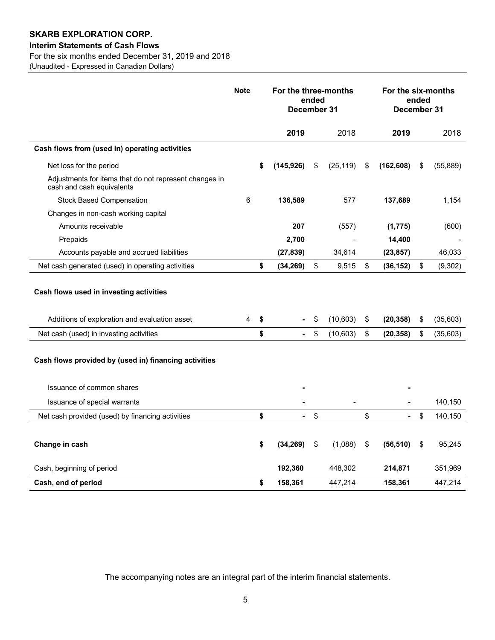# **Interim Statements of Cash Flows**

For the six months ended December 31, 2019 and 2018

(Unaudited - Expressed in Canadian Dollars)

|                                                                                                                    | <b>Note</b> | For the three-months<br>ended<br>December 31 |    |           |                           |                | For the six-months<br>ended<br>December 31 |           |
|--------------------------------------------------------------------------------------------------------------------|-------------|----------------------------------------------|----|-----------|---------------------------|----------------|--------------------------------------------|-----------|
|                                                                                                                    |             | 2019                                         |    | 2018      |                           | 2019           |                                            | 2018      |
| Cash flows from (used in) operating activities                                                                     |             |                                              |    |           |                           |                |                                            |           |
| Net loss for the period                                                                                            |             | \$<br>(145, 926)                             | \$ | (25, 119) | \$                        | (162, 608)     | \$                                         | (55, 889) |
| Adjustments for items that do not represent changes in<br>cash and cash equivalents                                |             |                                              |    |           |                           |                |                                            |           |
| <b>Stock Based Compensation</b>                                                                                    | 6           | 136,589                                      |    | 577       |                           | 137,689        |                                            | 1,154     |
| Changes in non-cash working capital                                                                                |             |                                              |    |           |                           |                |                                            |           |
| Amounts receivable                                                                                                 |             | 207                                          |    | (557)     |                           | (1, 775)       |                                            | (600)     |
| Prepaids                                                                                                           |             | 2,700                                        |    |           |                           | 14,400         |                                            |           |
| Accounts payable and accrued liabilities                                                                           |             | (27, 839)                                    |    | 34,614    |                           | (23, 857)      |                                            | 46,033    |
| Net cash generated (used) in operating activities                                                                  |             | \$<br>(34, 269)                              | \$ | 9,515     | \$                        | (36, 152)      | \$                                         | (9,302)   |
| Cash flows used in investing activities<br>Additions of exploration and evaluation asset                           | 4           | \$                                           | \$ | (10,603)  | \$                        | (20, 358)      | \$                                         | (35,603)  |
| Net cash (used) in investing activities                                                                            |             | \$<br>$\blacksquare$                         | \$ | (10, 603) | \$                        | (20, 358)      | \$                                         | (35,603)  |
| Cash flows provided by (used in) financing activities<br>Issuance of common shares<br>Issuance of special warrants |             |                                              |    |           |                           |                |                                            | 140,150   |
| Net cash provided (used) by financing activities                                                                   |             | \$<br>۰                                      | \$ |           | \$                        | $\blacksquare$ | \$                                         | 140,150   |
|                                                                                                                    |             |                                              |    |           |                           |                |                                            |           |
| Change in cash                                                                                                     |             | \$<br>(34, 269)                              | \$ | (1,088)   | $\boldsymbol{\mathsf{S}}$ | (56, 510)      | \$                                         | 95,245    |
| Cash, beginning of period                                                                                          |             | 192,360                                      |    | 448,302   |                           | 214,871        |                                            | 351,969   |
| Cash, end of period                                                                                                |             | \$<br>158,361                                |    | 447,214   |                           | 158,361        |                                            | 447,214   |

The accompanying notes are an integral part of the interim financial statements.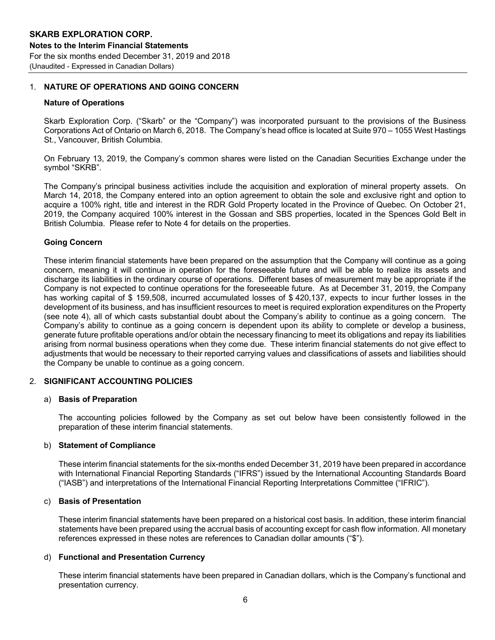# 1. **NATURE OF OPERATIONS AND GOING CONCERN**

#### **Nature of Operations**

Skarb Exploration Corp. ("Skarb" or the "Company") was incorporated pursuant to the provisions of the Business Corporations Act of Ontario on March 6, 2018. The Company's head office is located at Suite 970 – 1055 West Hastings St., Vancouver, British Columbia.

On February 13, 2019, the Company's common shares were listed on the Canadian Securities Exchange under the symbol "SKRB".

The Company's principal business activities include the acquisition and exploration of mineral property assets. On March 14, 2018, the Company entered into an option agreement to obtain the sole and exclusive right and option to acquire a 100% right, title and interest in the RDR Gold Property located in the Province of Quebec. On October 21, 2019, the Company acquired 100% interest in the Gossan and SBS properties, located in the Spences Gold Belt in British Columbia. Please refer to Note 4 for details on the properties.

# **Going Concern**

These interim financial statements have been prepared on the assumption that the Company will continue as a going concern, meaning it will continue in operation for the foreseeable future and will be able to realize its assets and discharge its liabilities in the ordinary course of operations. Different bases of measurement may be appropriate if the Company is not expected to continue operations for the foreseeable future. As at December 31, 2019, the Company has working capital of \$ 159,508, incurred accumulated losses of \$ 420,137, expects to incur further losses in the development of its business, and has insufficient resources to meet is required exploration expenditures on the Property (see note 4), all of which casts substantial doubt about the Company's ability to continue as a going concern. The Company's ability to continue as a going concern is dependent upon its ability to complete or develop a business, generate future profitable operations and/or obtain the necessary financing to meet its obligations and repay its liabilities arising from normal business operations when they come due. These interim financial statements do not give effect to adjustments that would be necessary to their reported carrying values and classifications of assets and liabilities should the Company be unable to continue as a going concern.

# 2. **SIGNIFICANT ACCOUNTING POLICIES**

#### a) **Basis of Preparation**

The accounting policies followed by the Company as set out below have been consistently followed in the preparation of these interim financial statements.

# b) **Statement of Compliance**

These interim financial statements for the six-months ended December 31, 2019 have been prepared in accordance with International Financial Reporting Standards ("IFRS") issued by the International Accounting Standards Board ("IASB") and interpretations of the International Financial Reporting Interpretations Committee ("IFRIC").

#### c) **Basis of Presentation**

These interim financial statements have been prepared on a historical cost basis. In addition, these interim financial statements have been prepared using the accrual basis of accounting except for cash flow information. All monetary references expressed in these notes are references to Canadian dollar amounts ("\$").

# d) **Functional and Presentation Currency**

These interim financial statements have been prepared in Canadian dollars, which is the Company's functional and presentation currency.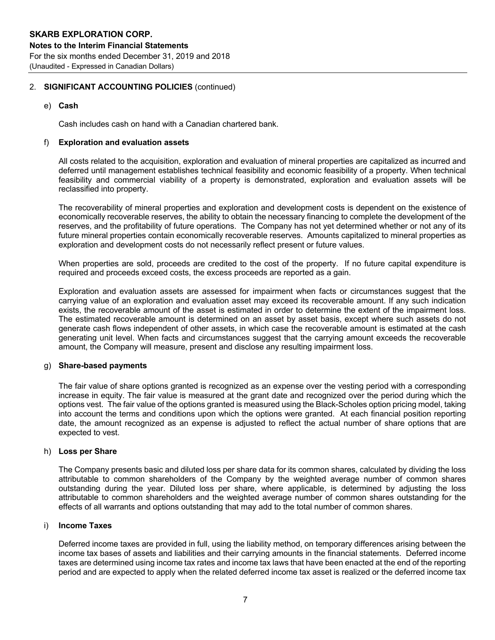# 2. **SIGNIFICANT ACCOUNTING POLICIES** (continued)

e) **Cash**

Cash includes cash on hand with a Canadian chartered bank.

#### f) **Exploration and evaluation assets**

All costs related to the acquisition, exploration and evaluation of mineral properties are capitalized as incurred and deferred until management establishes technical feasibility and economic feasibility of a property. When technical feasibility and commercial viability of a property is demonstrated, exploration and evaluation assets will be reclassified into property.

The recoverability of mineral properties and exploration and development costs is dependent on the existence of economically recoverable reserves, the ability to obtain the necessary financing to complete the development of the reserves, and the profitability of future operations. The Company has not yet determined whether or not any of its future mineral properties contain economically recoverable reserves. Amounts capitalized to mineral properties as exploration and development costs do not necessarily reflect present or future values.

When properties are sold, proceeds are credited to the cost of the property. If no future capital expenditure is required and proceeds exceed costs, the excess proceeds are reported as a gain.

Exploration and evaluation assets are assessed for impairment when facts or circumstances suggest that the carrying value of an exploration and evaluation asset may exceed its recoverable amount. If any such indication exists, the recoverable amount of the asset is estimated in order to determine the extent of the impairment loss. The estimated recoverable amount is determined on an asset by asset basis, except where such assets do not generate cash flows independent of other assets, in which case the recoverable amount is estimated at the cash generating unit level. When facts and circumstances suggest that the carrying amount exceeds the recoverable amount, the Company will measure, present and disclose any resulting impairment loss.

#### g) **Share-based payments**

The fair value of share options granted is recognized as an expense over the vesting period with a corresponding increase in equity. The fair value is measured at the grant date and recognized over the period during which the options vest. The fair value of the options granted is measured using the Black-Scholes option pricing model, taking into account the terms and conditions upon which the options were granted. At each financial position reporting date, the amount recognized as an expense is adjusted to reflect the actual number of share options that are expected to vest.

#### h) **Loss per Share**

The Company presents basic and diluted loss per share data for its common shares, calculated by dividing the loss attributable to common shareholders of the Company by the weighted average number of common shares outstanding during the year. Diluted loss per share, where applicable, is determined by adjusting the loss attributable to common shareholders and the weighted average number of common shares outstanding for the effects of all warrants and options outstanding that may add to the total number of common shares.

#### i) **Income Taxes**

Deferred income taxes are provided in full, using the liability method, on temporary differences arising between the income tax bases of assets and liabilities and their carrying amounts in the financial statements. Deferred income taxes are determined using income tax rates and income tax laws that have been enacted at the end of the reporting period and are expected to apply when the related deferred income tax asset is realized or the deferred income tax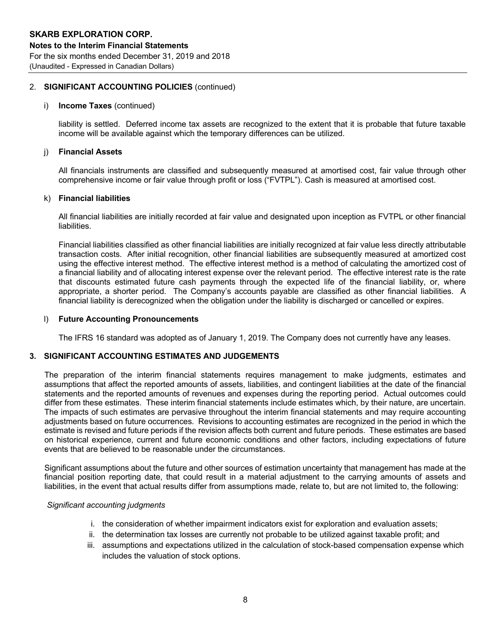# 2. **SIGNIFICANT ACCOUNTING POLICIES** (continued)

#### i) **Income Taxes** (continued)

liability is settled. Deferred income tax assets are recognized to the extent that it is probable that future taxable income will be available against which the temporary differences can be utilized.

# j) **Financial Assets**

All financials instruments are classified and subsequently measured at amortised cost, fair value through other comprehensive income or fair value through profit or loss ("FVTPL"). Cash is measured at amortised cost.

#### k) **Financial liabilities**

All financial liabilities are initially recorded at fair value and designated upon inception as FVTPL or other financial liabilities.

Financial liabilities classified as other financial liabilities are initially recognized at fair value less directly attributable transaction costs. After initial recognition, other financial liabilities are subsequently measured at amortized cost using the effective interest method. The effective interest method is a method of calculating the amortized cost of a financial liability and of allocating interest expense over the relevant period. The effective interest rate is the rate that discounts estimated future cash payments through the expected life of the financial liability, or, where appropriate, a shorter period. The Company's accounts payable are classified as other financial liabilities. A financial liability is derecognized when the obligation under the liability is discharged or cancelled or expires.

#### l) **Future Accounting Pronouncements**

The IFRS 16 standard was adopted as of January 1, 2019. The Company does not currently have any leases.

# **3. SIGNIFICANT ACCOUNTING ESTIMATES AND JUDGEMENTS**

The preparation of the interim financial statements requires management to make judgments, estimates and assumptions that affect the reported amounts of assets, liabilities, and contingent liabilities at the date of the financial statements and the reported amounts of revenues and expenses during the reporting period. Actual outcomes could differ from these estimates. These interim financial statements include estimates which, by their nature, are uncertain. The impacts of such estimates are pervasive throughout the interim financial statements and may require accounting adjustments based on future occurrences. Revisions to accounting estimates are recognized in the period in which the estimate is revised and future periods if the revision affects both current and future periods. These estimates are based on historical experience, current and future economic conditions and other factors, including expectations of future events that are believed to be reasonable under the circumstances.

Significant assumptions about the future and other sources of estimation uncertainty that management has made at the financial position reporting date, that could result in a material adjustment to the carrying amounts of assets and liabilities, in the event that actual results differ from assumptions made, relate to, but are not limited to, the following:

# *Significant accounting judgments*

- i. the consideration of whether impairment indicators exist for exploration and evaluation assets;
- ii. the determination tax losses are currently not probable to be utilized against taxable profit; and
- iii. assumptions and expectations utilized in the calculation of stock-based compensation expense which includes the valuation of stock options.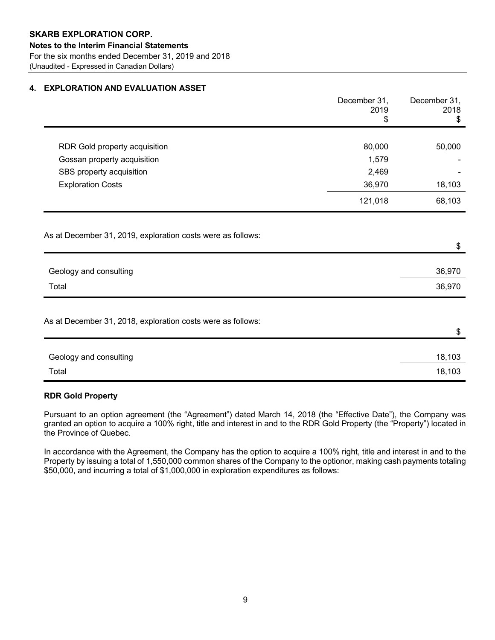# **4. EXPLORATION AND EVALUATION ASSET**

|                                                             | December 31,<br>2019<br>\$ | December 31,<br>2018<br>\$ |
|-------------------------------------------------------------|----------------------------|----------------------------|
|                                                             |                            |                            |
| RDR Gold property acquisition                               | 80,000                     | 50,000                     |
| Gossan property acquisition                                 | 1,579                      |                            |
| SBS property acquisition                                    | 2,469                      |                            |
| <b>Exploration Costs</b>                                    | 36,970                     | 18,103                     |
|                                                             | 121,018                    | 68,103                     |
| As at December 31, 2019, exploration costs were as follows: |                            | \$                         |
| Geology and consulting                                      |                            | 36,970                     |
| Total                                                       |                            | 36,970                     |
| As at December 31, 2018, exploration costs were as follows: |                            | \$                         |
|                                                             |                            |                            |
| Geology and consulting                                      |                            | 18,103                     |
| Total                                                       |                            | 18,103                     |

# **RDR Gold Property**

Pursuant to an option agreement (the "Agreement") dated March 14, 2018 (the "Effective Date"), the Company was granted an option to acquire a 100% right, title and interest in and to the RDR Gold Property (the "Property") located in the Province of Quebec.

In accordance with the Agreement, the Company has the option to acquire a 100% right, title and interest in and to the Property by issuing a total of 1,550,000 common shares of the Company to the optionor, making cash payments totaling \$50,000, and incurring a total of \$1,000,000 in exploration expenditures as follows: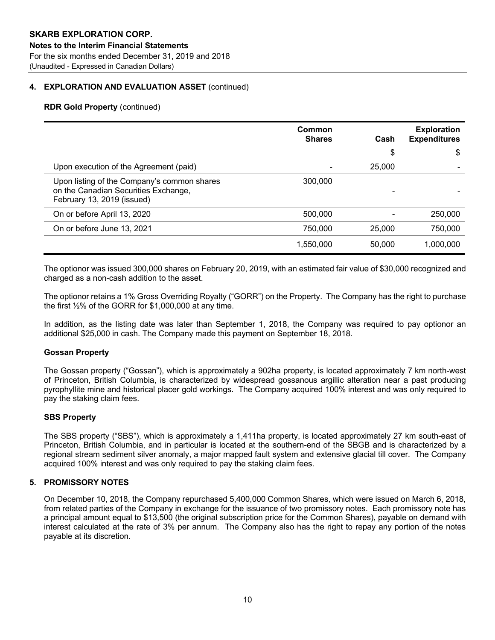# **4. EXPLORATION AND EVALUATION ASSET** (continued)

# **RDR Gold Property** (continued)

|                                                                                                                   | Common<br><b>Shares</b> | Cash   | <b>Exploration</b><br><b>Expenditures</b> |
|-------------------------------------------------------------------------------------------------------------------|-------------------------|--------|-------------------------------------------|
|                                                                                                                   |                         | \$     | \$                                        |
| Upon execution of the Agreement (paid)                                                                            |                         | 25,000 |                                           |
| Upon listing of the Company's common shares<br>on the Canadian Securities Exchange,<br>February 13, 2019 (issued) | 300,000                 |        |                                           |
| On or before April 13, 2020                                                                                       | 500,000                 |        | 250,000                                   |
| On or before June 13, 2021                                                                                        | 750,000                 | 25,000 | 750,000                                   |
|                                                                                                                   | 1,550,000               | 50,000 | 1,000,000                                 |

The optionor was issued 300,000 shares on February 20, 2019, with an estimated fair value of \$30,000 recognized and charged as a non-cash addition to the asset.

The optionor retains a 1% Gross Overriding Royalty ("GORR") on the Property. The Company has the right to purchase the first ½% of the GORR for \$1,000,000 at any time.

In addition, as the listing date was later than September 1, 2018, the Company was required to pay optionor an additional \$25,000 in cash. The Company made this payment on September 18, 2018.

# **Gossan Property**

The Gossan property ("Gossan"), which is approximately a 902ha property, is located approximately 7 km north-west of Princeton, British Columbia, is characterized by widespread gossanous argillic alteration near a past producing pyrophyllite mine and historical placer gold workings. The Company acquired 100% interest and was only required to pay the staking claim fees.

# **SBS Property**

The SBS property ("SBS"), which is approximately a 1,411ha property, is located approximately 27 km south-east of Princeton, British Columbia, and in particular is located at the southern-end of the SBGB and is characterized by a regional stream sediment silver anomaly, a major mapped fault system and extensive glacial till cover. The Company acquired 100% interest and was only required to pay the staking claim fees.

# **5. PROMISSORY NOTES**

On December 10, 2018, the Company repurchased 5,400,000 Common Shares, which were issued on March 6, 2018, from related parties of the Company in exchange for the issuance of two promissory notes. Each promissory note has a principal amount equal to \$13,500 (the original subscription price for the Common Shares), payable on demand with interest calculated at the rate of 3% per annum. The Company also has the right to repay any portion of the notes payable at its discretion.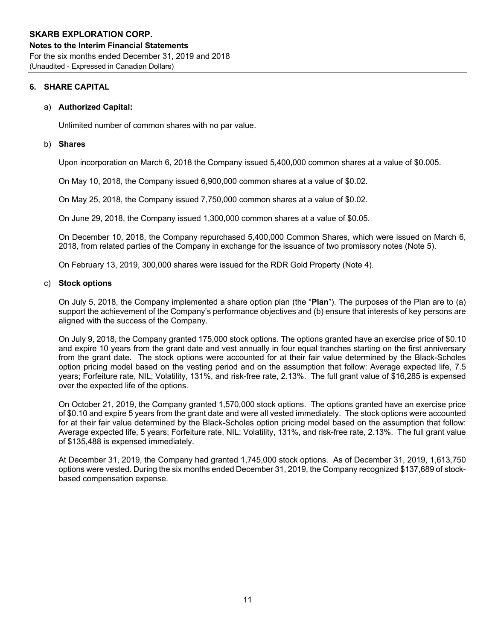# **6. SHARE CAPITAL**

# a) **Authorized Capital:**

Unlimited number of common shares with no par value.

# b) **Shares**

Upon incorporation on March 6, 2018 the Company issued 5,400,000 common shares at a value of \$0.005.

On May 10, 2018, the Company issued 6,900,000 common shares at a value of \$0.02.

On May 25, 2018, the Company issued 7,750,000 common shares at a value of \$0.02.

On June 29, 2018, the Company issued 1,300,000 common shares at a value of \$0.05.

On December 10, 2018, the Company repurchased 5,400,000 Common Shares, which were issued on March 6, 2018, from related parties of the Company in exchange for the issuance of two promissory notes (Note 5).

On February 13, 2019, 300,000 shares were issued for the RDR Gold Property (Note 4).

# c) **Stock options**

On July 5, 2018, the Company implemented a share option plan (the "**Plan**"). The purposes of the Plan are to (a) support the achievement of the Company's performance objectives and (b) ensure that interests of key persons are aligned with the success of the Company.

On July 9, 2018, the Company granted 175,000 stock options. The options granted have an exercise price of \$0.10 and expire 10 years from the grant date and vest annually in four equal tranches starting on the first anniversary from the grant date. The stock options were accounted for at their fair value determined by the Black-Scholes option pricing model based on the vesting period and on the assumption that follow: Average expected life, 7.5 years; Forfeiture rate, NIL; Volatility, 131%, and risk-free rate, 2.13%. The full grant value of \$16,285 is expensed over the expected life of the options.

On October 21, 2019, the Company granted 1,570,000 stock options. The options granted have an exercise price of \$0.10 and expire 5 years from the grant date and were all vested immediately. The stock options were accounted for at their fair value determined by the Black-Scholes option pricing model based on the assumption that follow: Average expected life, 5 years; Forfeiture rate, NIL; Volatility, 131%, and risk-free rate, 2.13%. The full grant value of \$135,488 is expensed immediately.

At December 31, 2019, the Company had granted 1,745,000 stock options. As of December 31, 2019, 1,613,750 options were vested. During the six months ended December 31, 2019, the Company recognized \$137,689 of stockbased compensation expense.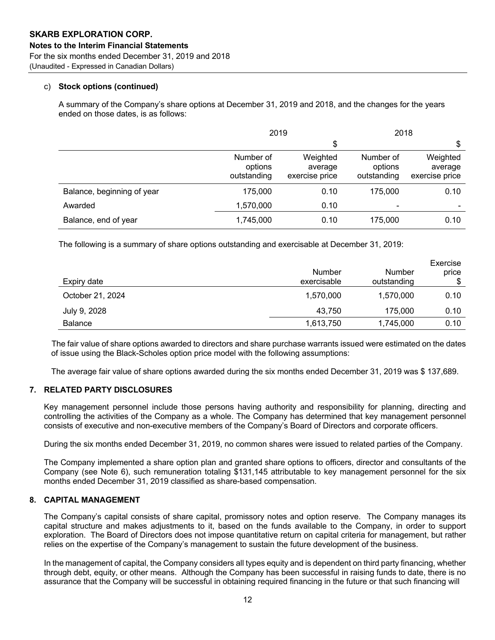# c) **Stock options (continued)**

A summary of the Company's share options at December 31, 2019 and 2018, and the changes for the years ended on those dates, is as follows:

|                            | 2019                                |                                       | 2018                                |                                       |  |
|----------------------------|-------------------------------------|---------------------------------------|-------------------------------------|---------------------------------------|--|
|                            |                                     | \$                                    |                                     | \$                                    |  |
|                            | Number of<br>options<br>outstanding | Weighted<br>average<br>exercise price | Number of<br>options<br>outstanding | Weighted<br>average<br>exercise price |  |
| Balance, beginning of year | 175,000                             | 0.10                                  | 175,000                             | 0.10                                  |  |
| Awarded                    | 1,570,000                           | 0.10                                  |                                     |                                       |  |
| Balance, end of year       | 1,745,000                           | 0.10                                  | 175,000                             | 0.10                                  |  |

The following is a summary of share options outstanding and exercisable at December 31, 2019:

| Expiry date      | Number<br>exercisable | Number<br>outstanding | Exercise<br>price |
|------------------|-----------------------|-----------------------|-------------------|
| October 21, 2024 | 1,570,000             | 1,570,000             | 0.10              |
| July 9, 2028     | 43,750                | 175,000               | 0.10              |
| <b>Balance</b>   | 1,613,750             | 1,745,000             | 0.10              |

The fair value of share options awarded to directors and share purchase warrants issued were estimated on the dates of issue using the Black-Scholes option price model with the following assumptions:

The average fair value of share options awarded during the six months ended December 31, 2019 was \$ 137,689.

# **7. RELATED PARTY DISCLOSURES**

Key management personnel include those persons having authority and responsibility for planning, directing and controlling the activities of the Company as a whole. The Company has determined that key management personnel consists of executive and non-executive members of the Company's Board of Directors and corporate officers.

During the six months ended December 31, 2019, no common shares were issued to related parties of the Company.

The Company implemented a share option plan and granted share options to officers, director and consultants of the Company (see Note 6), such remuneration totaling \$131,145 attributable to key management personnel for the six months ended December 31, 2019 classified as share-based compensation.

# **8. CAPITAL MANAGEMENT**

The Company's capital consists of share capital, promissory notes and option reserve. The Company manages its capital structure and makes adjustments to it, based on the funds available to the Company, in order to support exploration. The Board of Directors does not impose quantitative return on capital criteria for management, but rather relies on the expertise of the Company's management to sustain the future development of the business.

In the management of capital, the Company considers all types equity and is dependent on third party financing, whether through debt, equity, or other means. Although the Company has been successful in raising funds to date, there is no assurance that the Company will be successful in obtaining required financing in the future or that such financing will